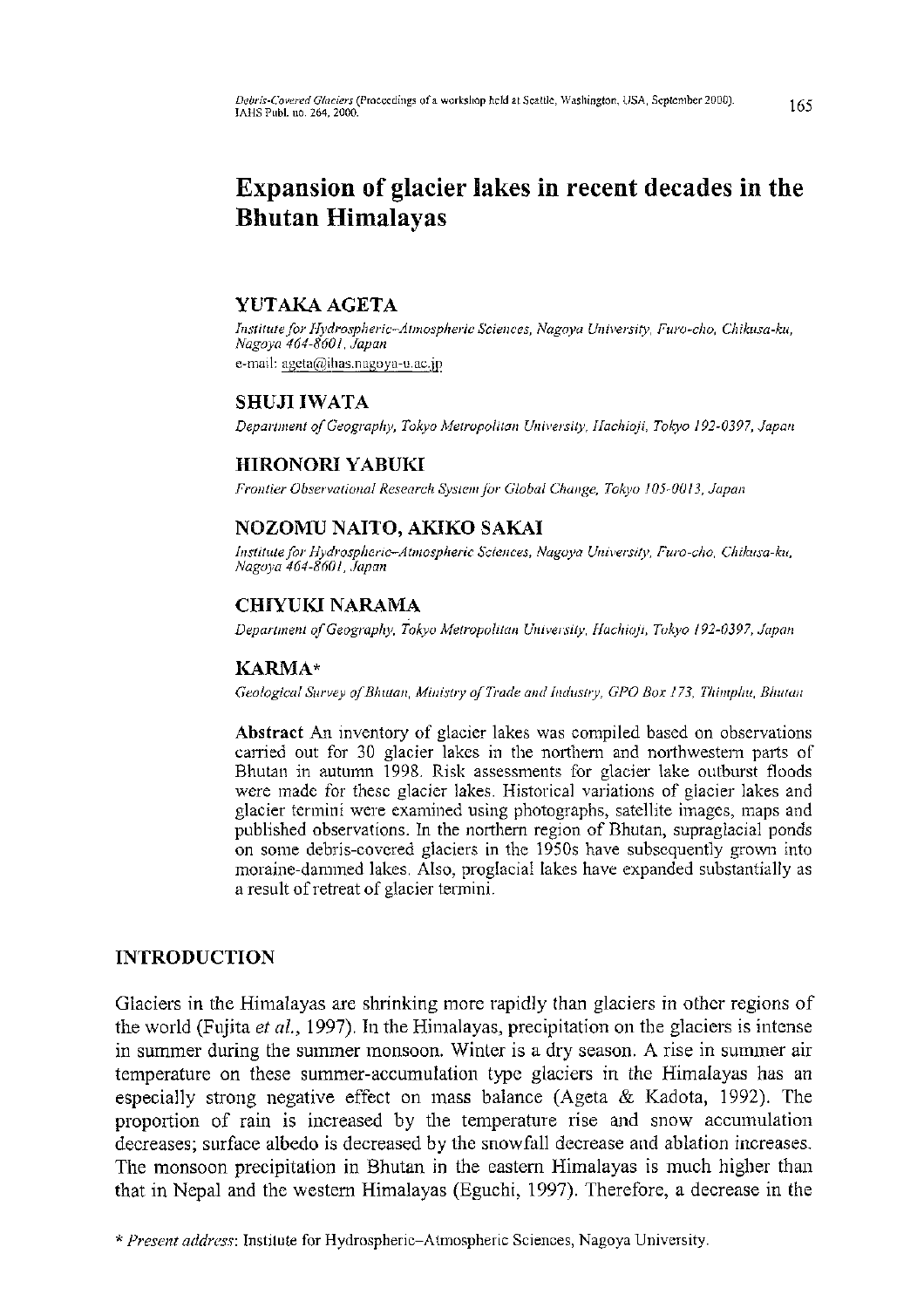# **Expansion of glacier lakes in recent decades in the Bhutan Himalayas**

## **YUTAKA AGETA**

*Institute for Hydrospheric-Atmospheric Sciences, Nagoya University, Furo-cho, Chikusa-ku, Nagoya 464-8601, Japan*  e-mail: [ageta@ihas.nagoya-u.ac.jp](mailto:ageta@ihas.nagoya-u.ac.jp)

# **SHUJI IWATA**

*Department of Geography, Tokyo Metropolitan University, Hachioji, Tokyo 192-0397, Japan* 

## **HIRONORI YABUKI**

*Frontier Observational Research System for Global Change, Tokyo 105-0013, Japan* 

# **NOZOMU NAITO, AKIKO SAKAI**

*Institute for Hydrospheric-Atmospheric Sciences, Nagoya University, Furo-cho, Chikusa-ku, Nagoya 464-8601, Japan* 

## **CHIYUKI NARAMA**

*Department of Geography, Tokyo Metropolitan University, Hachioji, Tolcyo 192-0397, Japan* 

## **KARMA\***

*Geological Survey of Bhutan, Ministry of Trade and Industry, GPO Box 173, Thimphu, Bhutan* 

Abstract An inventory of glacier lakes was compiled based on observations carried out for 30 glacier lakes in the northern and northwestern parts of Bhutan in autumn 1998. Risk assessments for glacier lake outburst floods were made for these glacier lakes. Historical variations of glacier lakes and glacier termini were examined using photographs, satellite images, maps and published observations. In the northern region of Bhutan, supraglacial ponds on some debris-covered glaciers in the 1950s have subsequently grown into moraine-dammed lakes. Also, proglacial lakes have expanded substantially as a result of retreat of glacier termini.

# INTRODUCTION

Glaciers in the Himalayas are shrinking more rapidly than glaciers in other regions of the world (Fujita *et al.,* 1997). In the Himalayas, precipitation on the glaciers is intense in summer during the summer monsoon. Winter is a dry season. A rise in summer air temperature on these summer-accumulation type glaciers in the Himalayas has an especially strong negative effect on mass balance (Ageta & Kadota, 1992). The proportion of rain is increased by the temperature rise and snow accumulation decreases; surface albedo is decreased by the snowfall decrease and ablation increases. The monsoon precipitation in Bhutan in the eastern Himalayas is much higher than that in Nepal and the western Himalayas (Eguchi, 1997). Therefore, a decrease in the

*<sup>\*</sup> Present address:* Institute for Hydrospheric-Atmospheri c Sciences, Nagoy a University.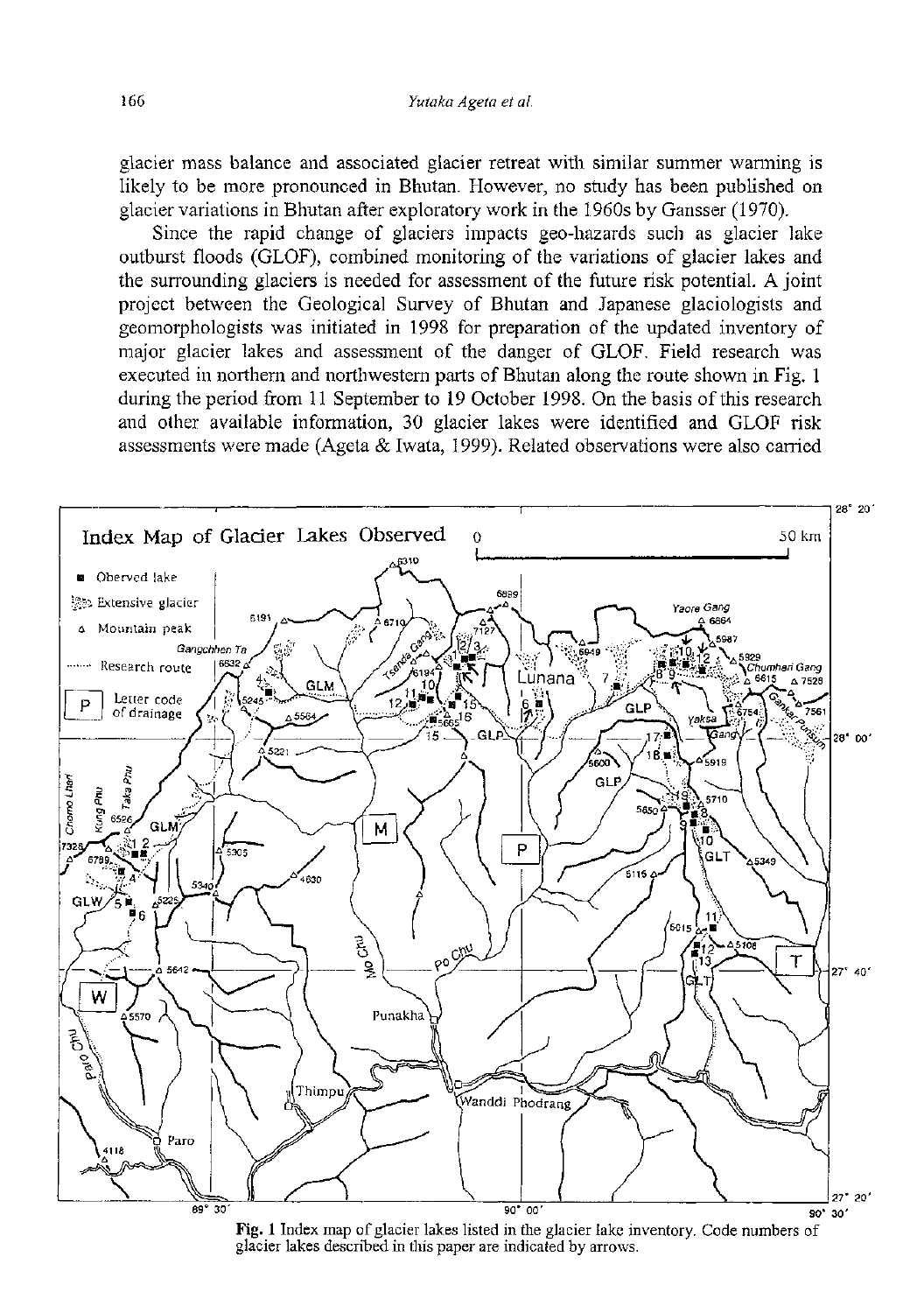glacier mass balance and associated glacier retreat with similar summer warming is likely to be more pronounced in Bhutan. However, no study has been published on glacier variations in Bhutan after exploratory work in the 1960s by Gansser (1970).

Since the rapid change of glaciers impacts geo-hazards such as glacier lake outburst floods (GLOF), combined monitoring of the variations of glacier lakes and the surrounding glaciers is needed for assessment of the future risk potential. A joint project between the Geological Survey of Bhutan and Japanese glaciologists and geomorphologists was initiated in 1998 for preparation of the updated inventory of major glacier lakes and assessment of the danger of GLOF. Field research was executed in northern and northwestern parts of Bhutan along the route shown in Fig. 1 during the period from 11 September to 19 October 1998. On the basis of this research and other available information, 30 glacier lakes were identified and GLOF risk assessments were made (Ageta & Iwata, 1999). Related observations were also carried



Fig. 1 Index map of glacier lakes listed in the glacier lake inventory. Code numbers of glacier lakes described in this paper are indicated by arrows.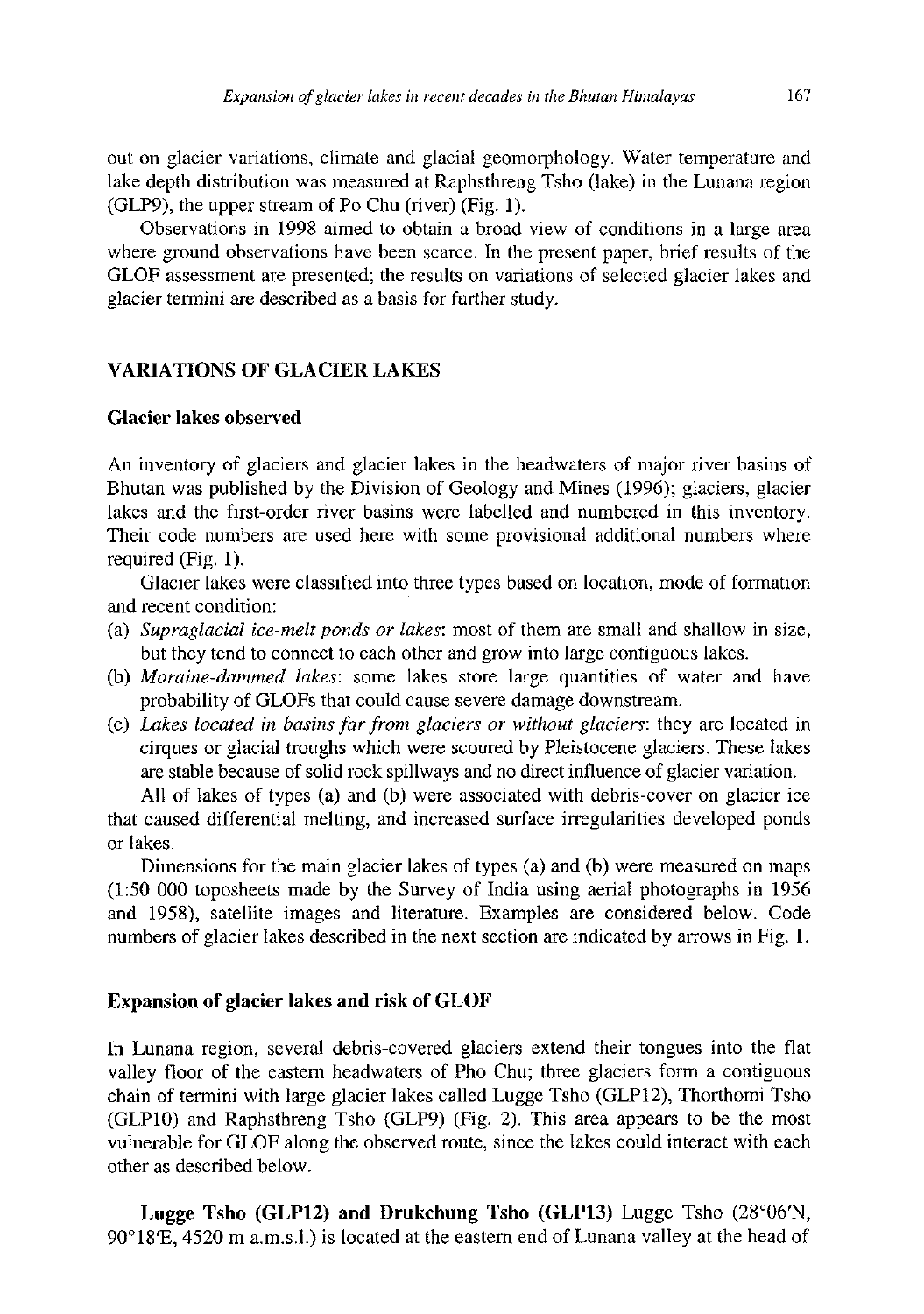out on glacier variations, climate and glacial geomorphology. Water temperature and lake depth distribution was measured at Raphsthreng Tsho (lake) in the Lunana region  $(GLP9)$ , the upper stream of Po Chu (river)  $(Fig. 1)$ .

Observations in 1998 aimed to obtain a broad view of conditions in a large area where ground observations have been scarce. In the present paper, brief results of the GLOF assessment are presented; the results on variations of selected glacier lakes and glacier termini are described as a basis for further study.

#### **VARIATIONS OF GLACIER LAKES**

#### **Glacier lakes observed**

An inventory of glaciers and glacier lakes in the headwaters of major river basins of Bhutan was published by the Division of Geology and Mines (1996); glaciers, glacier lakes and the first-order river basins were labelled and numbered in this inventory. Their code numbers are used here with some provisional additional numbers where required (Fig. 1).

Glacier lakes were classified into three types based on location, mode of formation and recent condition:

- (a) *Supraglacial ice-melt ponds or lakes:* most of them are small and shallow in size, but they tend to connect to each other and grow into large contiguous lakes.
- (b) *Moraine-dammed lakes:* some lakes store large quantities of water and have probability of GLOFs that could cause severe damage downstream.
- (c) *Lakes located in basins far from glaciers or without glaciers:* they are located in cirques or glacial troughs which were scoured by Pleistocene glaciers. These lakes are stable because of solid rock spillways and no direct influence of glacier variation.

All of lakes of types (a) and (b) were associated with debris-cover on glacier ice that caused differential melting, and increased surface irregularities developed ponds or lakes.

Dimensions for the main glacier lakes of types (a) and (b) were measured on maps (1:50 000 toposheets made by the Survey of India using aerial photographs in 1956 and 1958), satellite images and literature. Examples are considered below. Code numbers of glacier lakes described in the next section are indicated by arrows in Fig. 1.

#### **Expansion of glacier lakes and risk of GLOF**

In Lunana region, several debris-covered glaciers extend their tongues into the flat valley floor of the eastern headwaters of Pho Chu; three glaciers form a contiguous chain of termini with large glacier lakes called Lugge Tsho (GLP12), Thorthomi Tsho (GLP10) and Raphsthreng Tsho (GLP9) (Fig. 2). This area appears to be the most vulnerable for GLOF along the observed route, since the lakes could interact with each other as described below.

**Lugge Tsho (GLP12) and Drukchung Tsho (GLP13)** Lugge Tsho (28°06'N, 90°18'E, 4520 m a.m.s.l.) is located at the eastern end of Lunana valley at the head of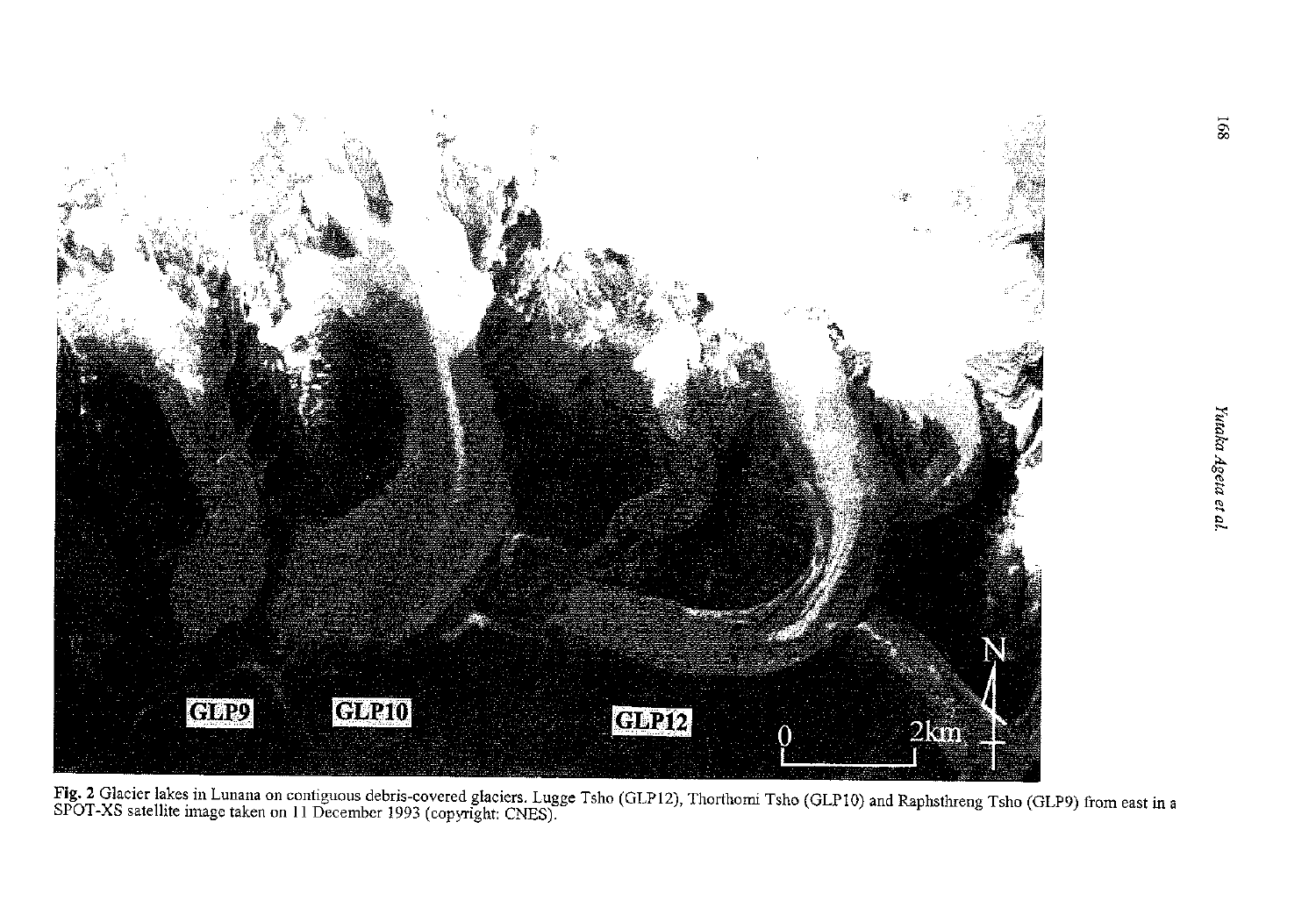

rig. 2 Giacier lakes in Lunana on contiguous debris-covered glaciers. Lugge Tsho (GLP12), Thorthomi Tsho (GLP10) and Raphsthreng Tsho (GLP9) from east in a<br>SPOT-XS satellite image taken on 11 December 1993 (copyright; CNES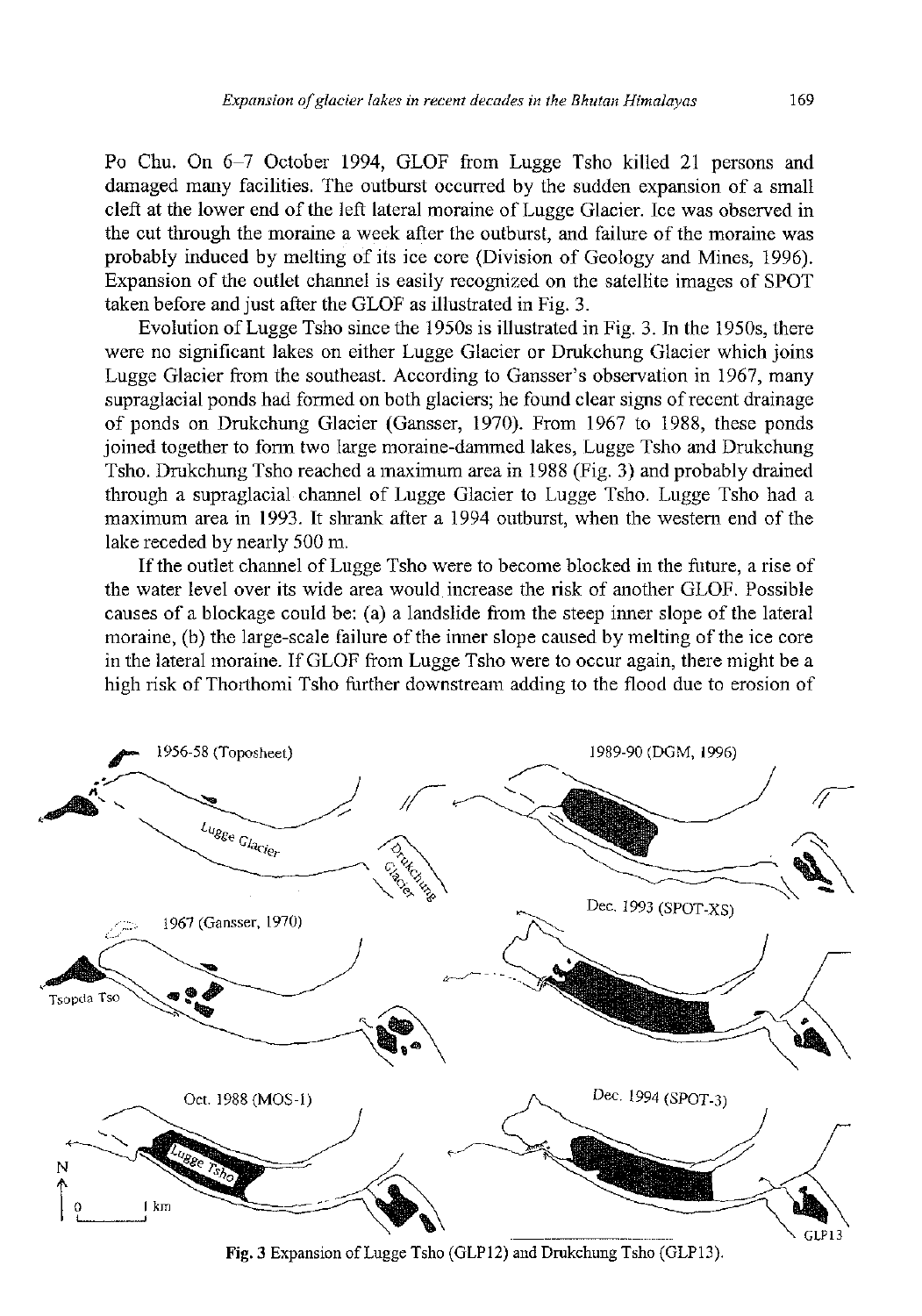Po Chu. On 6-7 October 1994, GLOF from Lugge Tsho killed 21 persons and damaged many facilities. The outburst occurred by the sudden expansion of a small cleft at the lower end of the left lateral moraine of Lugge Glacier. Ice was observed in the cut through the moraine a week after the outburst, and failure of the moraine was probably induced by melting of its ice core (Division of Geology and Mines, 1996). Expansion of the outlet channel is easily recognized on the satellite images of SPOT taken before and just after the GLOF as illustrated in Fig. 3.

Evolution of Lugge Tsho since the 1950s is illustrated in Fig. 3. In the 1950s, there were no significant lakes on either Lugge Glacier or Drukchung Glacier which joins Lugge Glacier from the southeast. According to Gansser's observation in 1967, many supraglacial ponds had formed on both glaciers; he found clear signs of recent drainage of ponds on Drukchung Glacier (Gansser, 1970). From 1967 to 1988, these ponds joined together to form two large moraine-dammed lakes, Lugge Tsho and Drukchung Tsho. Drukchung Tsho reached a maximum area in 1988 (Fig. 3) and probably drained through a supraglacial channel of Lugge Glacier to Lugge Tsho. Lugge Tsho had a maximum area in 1993. It shrank after a 1994 outburst, when the western end of the lake receded by nearly 500 m.

If the outlet channel of Lugge Tsho were to become blocked in the future, a rise of the water level over its wide area would increase the risk of another GLOF. Possible causes of a blockage could be: (a) a landslide from the steep inner slope of the lateral moraine, (b) the large-scale failure of the inner slope caused by melting of the ice core in the lateral moraine. If GLOF from Lugge Tsho were to occur again, there might be a high risk of Thorthomi Tsho further downstream adding to the flood due to erosion of



Fig. 3 Expansion of Lugge Tsho (GLP12) and Drukchung Tsho (GLP13).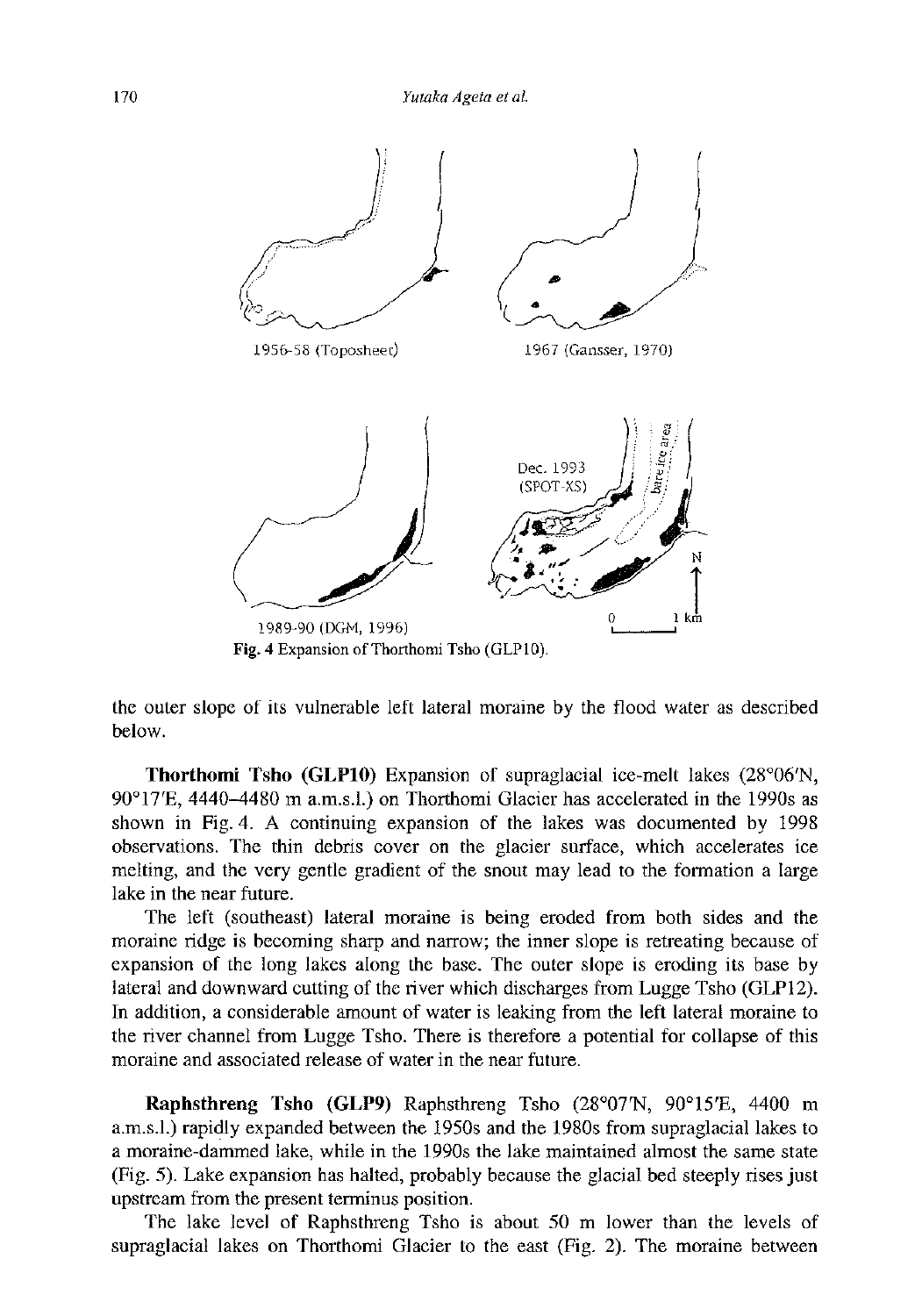

the outer slope of its vulnerable left lateral moraine by the flood water as described below.

**Thorthomi Tsho (GLP10)** Expansion of supraglacial ice-melt lakes (28°06'N, 90°17'E, 4440-4480 m a.m.s.l.) on Thorthomi Glacier has accelerated in the 1990s as shown in Fig. 4. A continuing expansion of the lakes was documented by 1998 observations. The thin debris cover on the glacier surface, which accelerates ice melting, and the very gentle gradient of the snout may lead to the formation a large lake in the near future.

The left (southeast) lateral moraine is being eroded from both sides and the moraine ridge is becoming sharp and narrow; the inner slope is retreating because of expansion of the long lakes along the base. The outer slope is eroding its base by lateral and downward cutting of the river which discharges from Lugge Tsho (GLP12). In addition, a considerable amount of water is leaking from the left lateral moraine to the river channel from Lugge Tsho. There is therefore a potential for collapse of this moraine and associated release of water in the near future.

**Raphsthreng Tsho (GLP9)** Raphsthreng Tsho (28°07'N, 90°15'E, 4400 m a.m.s.l.) rapidly expanded between the 1950s and the 1980s from supraglacial lakes to a moraine-dammed lake, while in the 1990s the lake maintained almost the same state (Fig. 5). Lake expansion has halted, probably because the glacial bed steeply rises just upstream from the present terminus position.

The lake level of Raphsthreng Tsho is about 50 m lower than the levels of supraglacial lakes on Thorthomi Glacier to the east (Fig. 2). The moraine between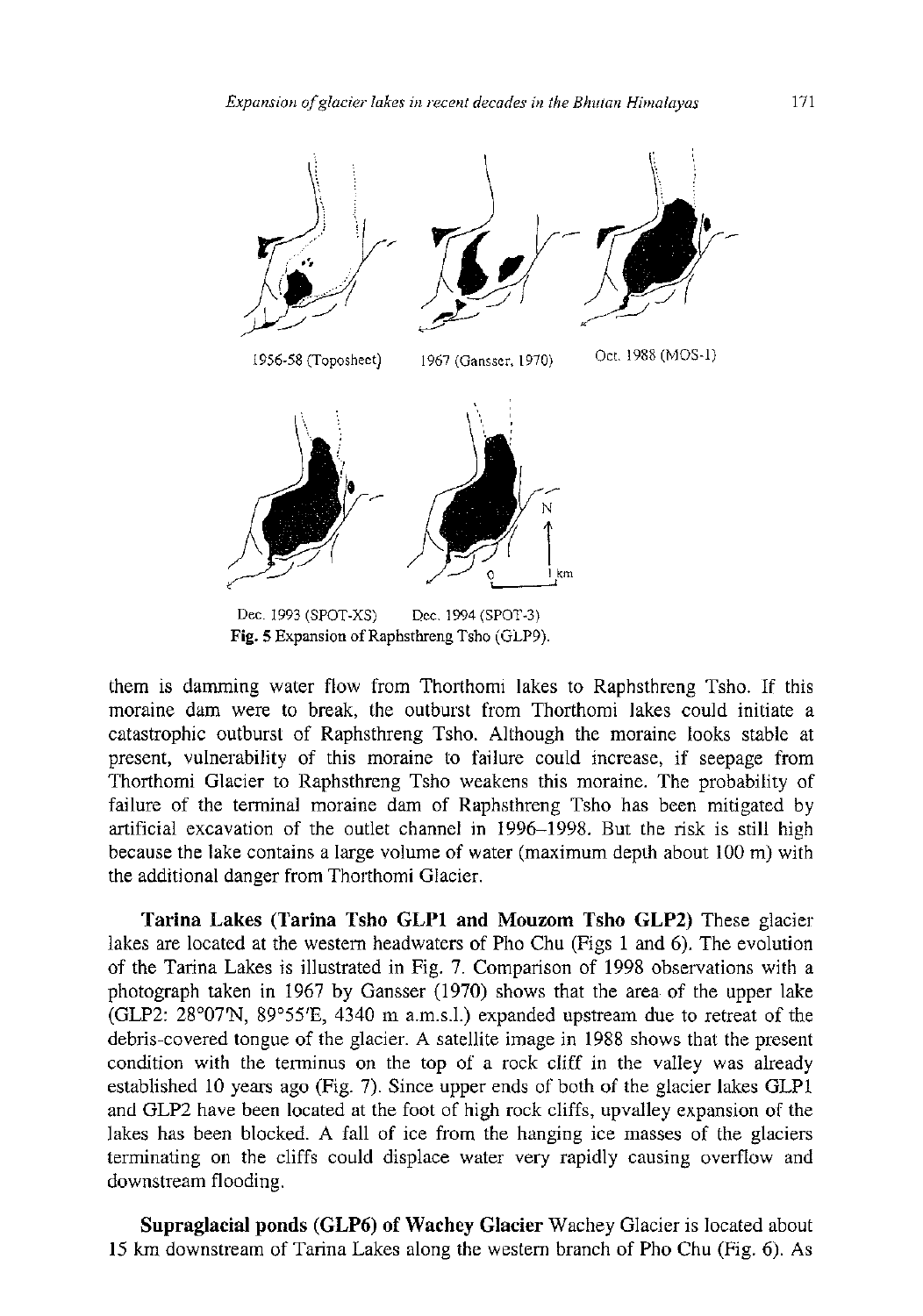

them is damming water flow from Thorthomi lakes to Raphsthreng Tsho. If this moraine dam were to break, the outburst from Thorthomi lakes could initiate a catastrophic outburst of Raphsthreng Tsho. Although the moraine looks stable at present, vulnerability of this moraine to failure could increase, if seepage from Thorthomi Glacier to Raphsthreng Tsho weakens this moraine. The probability of failure of the terminal moraine dam of Raphsthreng Tsho has been mitigated by artificial excavation of the outlet channel in 1996-1998. But the risk is still high because the lake contains a large volume of water (maximum depth about 100 m) with the additional danger from Thorthomi Glacier.

**Tarina Lakes (Tarina Tsho GLP1 and Mouzom Tsho GLP2)** These glacier lakes are located at the western headwaters of Pho Chu (Figs 1 and 6). The evolution of the Tarina Lakes is illustrated in Fig. 7. Comparison of 1998 observations with a photograph taken in 1967 by Gansser (1970) shows that the area of the upper lake (GLP2: 28°07'N, 89°55'E, 4340 m a.m.s.l.) expanded upstream due to retreat of the debris-covered tongue of the glacier. A satellite image in 1988 shows that the present condition with the terminus on the top of a rock cliff in the valley was already established 10 years ago (Fig. 7). Since upper ends of both of the glacier lakes GLP1 and GLP2 have been located at the foot of high rock cliffs, upvalley expansion of the lakes has been blocked. A fall of ice from the hanging ice masses of the glaciers terminating on the cliffs could displace water very rapidly causing overflow and downstream flooding.

**Supraglacial ponds (GLP6) of Wachey Glacier** Wachey Glacier is located about 15 km downstream of Tarina Lakes along the western branch of Pho Chu (Fig. 6). As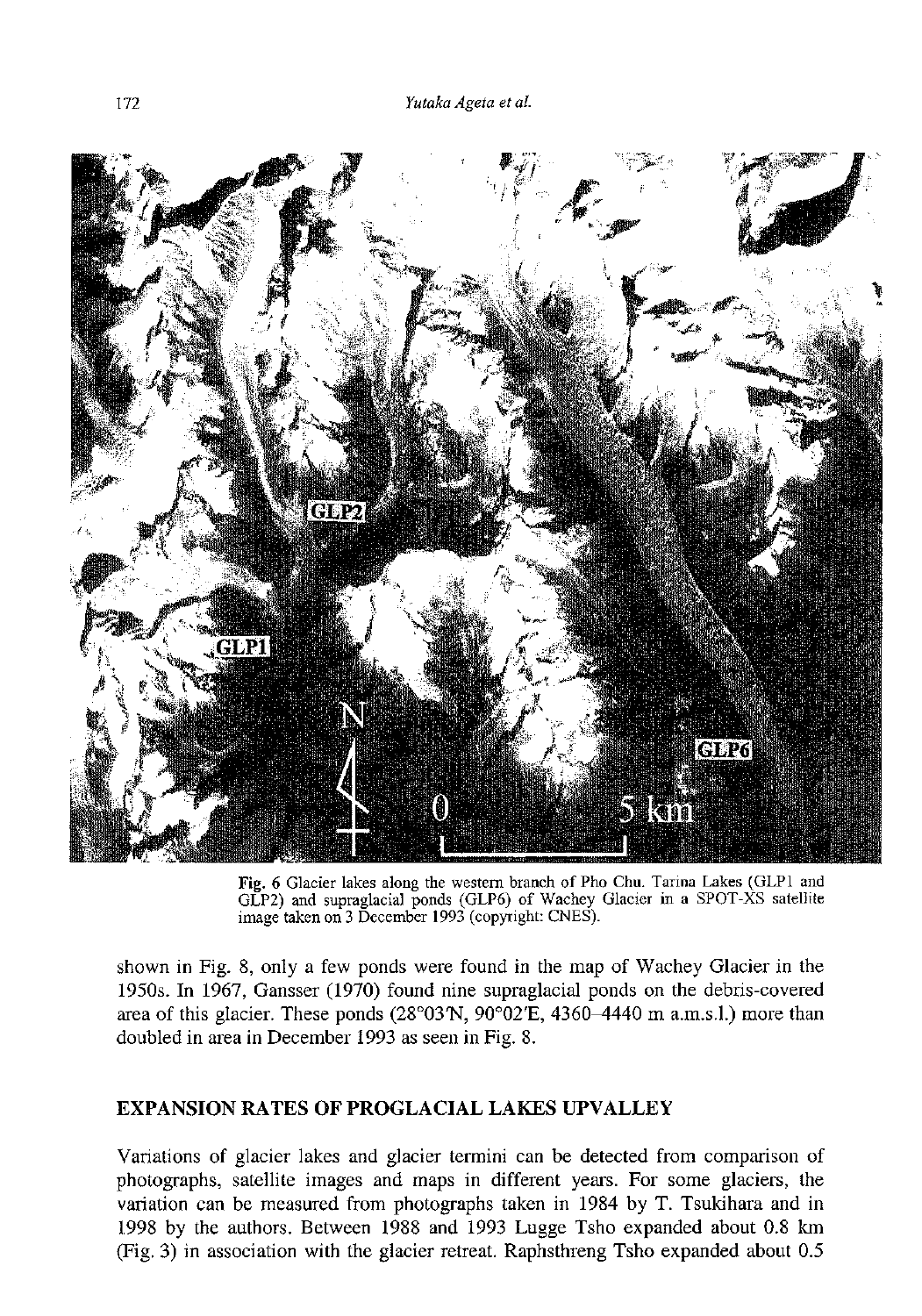

Fig. 6 Glacier lakes along the western branch of Pho Chu. Tarina Lakes (GLP1 and GLP2) and supraglacial ponds (GLP6) of Wachey Glacier in a SPOT-XS satellite image taken on 3 December 1993 (copyright: CNES).

shown in Fig. 8, only a few ponds were found in the map of Wachey Glacier in the 1950s. In 1967, Gansser (1970) found nine supraglacial ponds on the debris-covered area of this glacier. These ponds  $(28^{\circ}03'N, 90^{\circ}02'E, 4360-4440 \text{ m }a.m.s.1.)$  more than doubled in area in December 1993 as seen in Fig. 8.

## **EXPANSION RATES OF PROGLACIAL LAKES UPVALLEY**

Variations of glacier lakes and glacier termini can be detected from comparison of photographs, satellite images and maps in different years. For some glaciers, the variation can be measured from photographs taken in 1984 by T. Tsukihara and in 1998 by the authors. Between 1988 and 1993 Lugge Tsho expanded about 0.8 km (Fig. 3) in association with the glacier retreat. Raphsthreng Tsho expanded about 0.5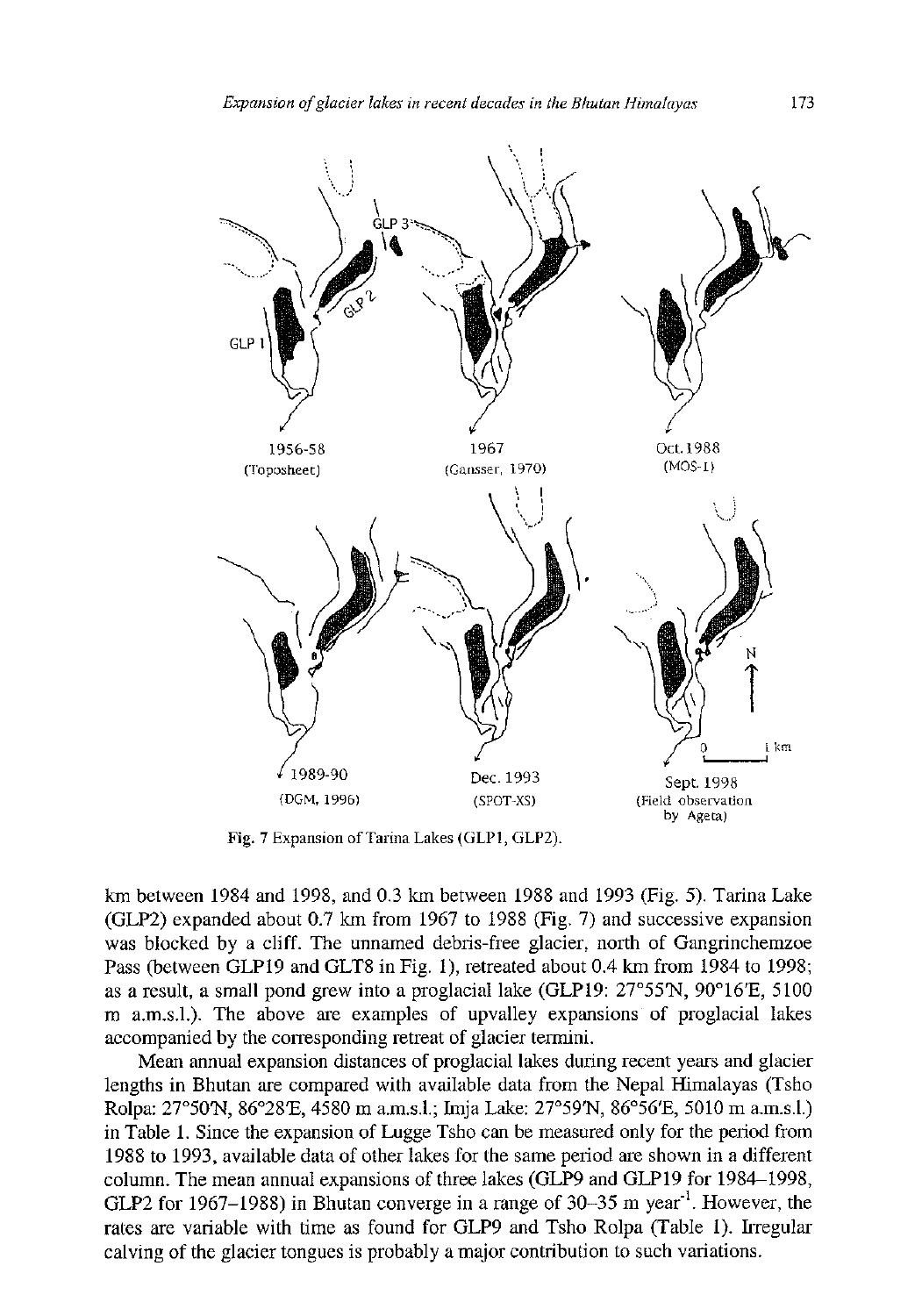

Fig. 7 Expansion of Tarina Lakes (GLP1, GLP2).

km between 1984 and 1998, and 0.3 km between 1988 and 1993 (Fig. 5). Tarina Lake (GLP2) expanded about 0.7 km from 1967 to 1988 (Fig. 7) and successive expansion was blocked by a cliff. The unnamed debris-free glacier, north of Gangrinchemzoe Pass (between GLP19 and GLT8 in Fig. 1), retreated about 0.4 km from 1984 to 1998; as a result, a small pond grew into a proglacial lake (GLP19: 27°55'N, 90°16'E, 5100 m a.m.s.l.). The above are examples of upvalley expansions of proglacial lakes accompanied by the corresponding retreat of glacier termini.

Mean annual expansion distances of proglacial lakes during recent years and glacier lengths in Bhutan are compared with available data from the Nepal Himalayas (Tsho Rolpa: 27°50'N, 86°28'E, 4580 m a.m.s.l.; Imja Lake: 27°59'N, 86°56'E, 5010 m a.m.s.l.) in Table 1. Since the expansion of Lugge Tsho can be measured only for the period from 1988 to 1993, available data of other lakes for the same period are shown in a different column. The mean annual expansions of three lakes (GLP9 and GLP19 for 1984—1998, GLP2 for 1967–1988) in Bhutan converge in a range of  $30-35$  m year<sup>-1</sup>. However, the rates are variable with time as found for GLP9 and Tsho Rolpa (Table 1). Irregular calving of the glacier tongues is probably a major contribution to such variations.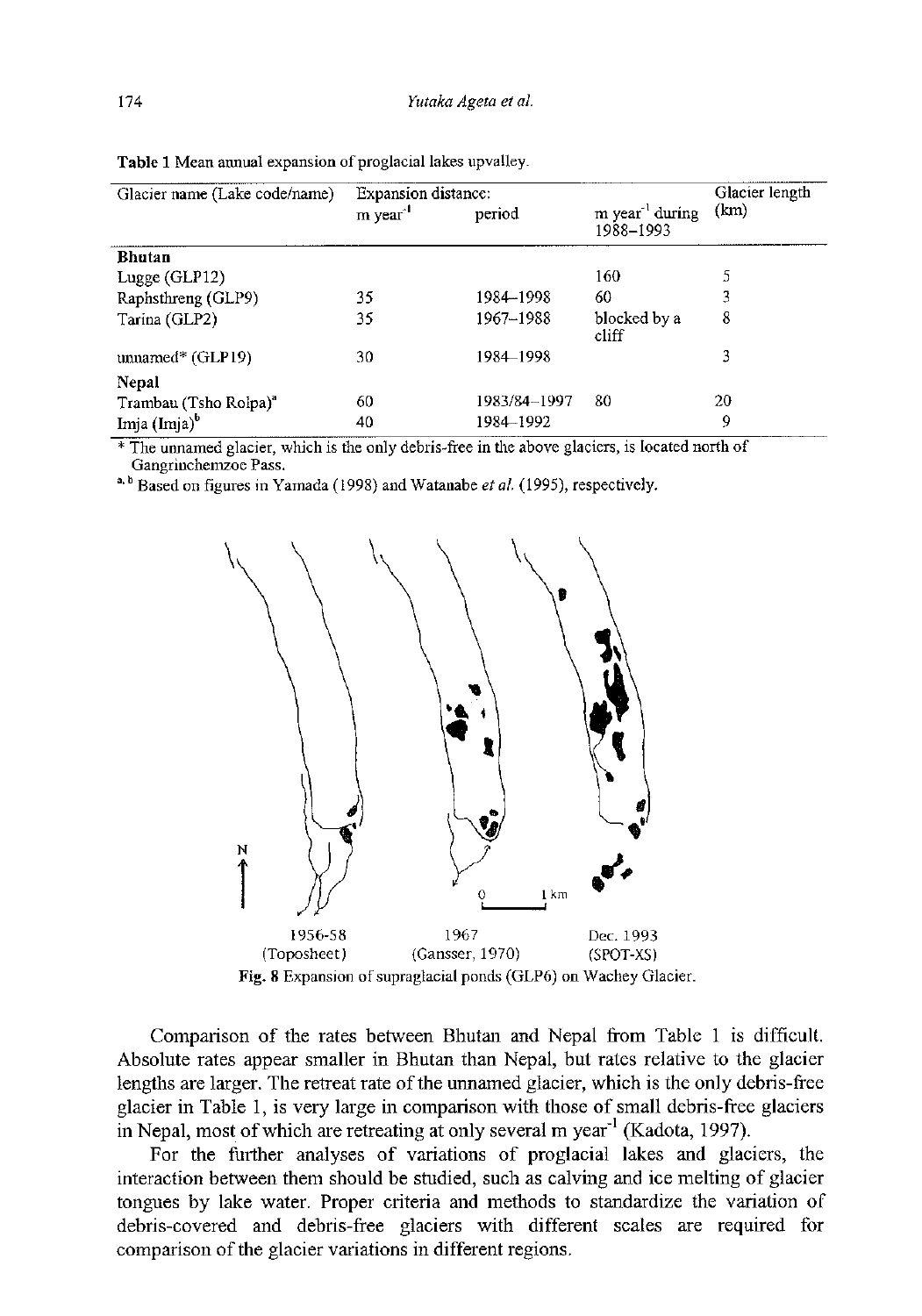| Glacier name (Lake code/name)     | <b>Expansion distance:</b> |              |                                          | Glacier length |
|-----------------------------------|----------------------------|--------------|------------------------------------------|----------------|
|                                   | m year                     | period       | m year <sup>-1</sup> during<br>1988-1993 | (km)           |
| <b>Bhutan</b>                     |                            |              |                                          |                |
| Lugge $(GLP12)$                   |                            |              | 160                                      | 5              |
| Raphsthreng (GLP9)                | 35                         | 1984-1998    | 60                                       | 3              |
| Tarina (GLP2)                     | 35                         | 1967-1988    | blocked by a<br>cliff                    | 8              |
| $umamed*$ (GLP19)                 | 30                         | 1984-1998    |                                          | 3              |
| Nepal                             |                            |              |                                          |                |
| Trambau (Tsho Rolpa) <sup>a</sup> | 60                         | 1983/84-1997 | 80                                       | 20             |
| Imja $(Imja)^b$                   | 40                         | 1984–1992    |                                          | 9              |

Table 1 Mean annual expansion of proglacial lakes upvalley.

 $*$  The unnamed glacier, which is the only debris-free in the above glaciers, is located north of Gangrinchemzoe Pass.

" Based on figures in Yamada (1998) and Watanabe *et al.* (1995), respectively.



Comparison of the rates between Bhutan and Nepal from Table 1 is difficult. Absolute rates appear smaller in Bhutan than Nepal, but rates relative to the glacier lengths are larger. The retreat rate of the unnamed glacier, which is the only debris-free glacier in Table 1, is very large in comparison with those of small debris-free glaciers in Nepal, most of which are retreating at only several m year<sup>-1</sup> (Kadota, 1997).

For the further analyses of variations of proglacial lakes and glaciers, the interaction between them should be studied, such as calving and ice melting of glacier tongues by lake water. Proper criteria and methods to standardize the variation of debris-covered and debris-free glaciers with different scales are required for comparison of the glacier variations in different regions.